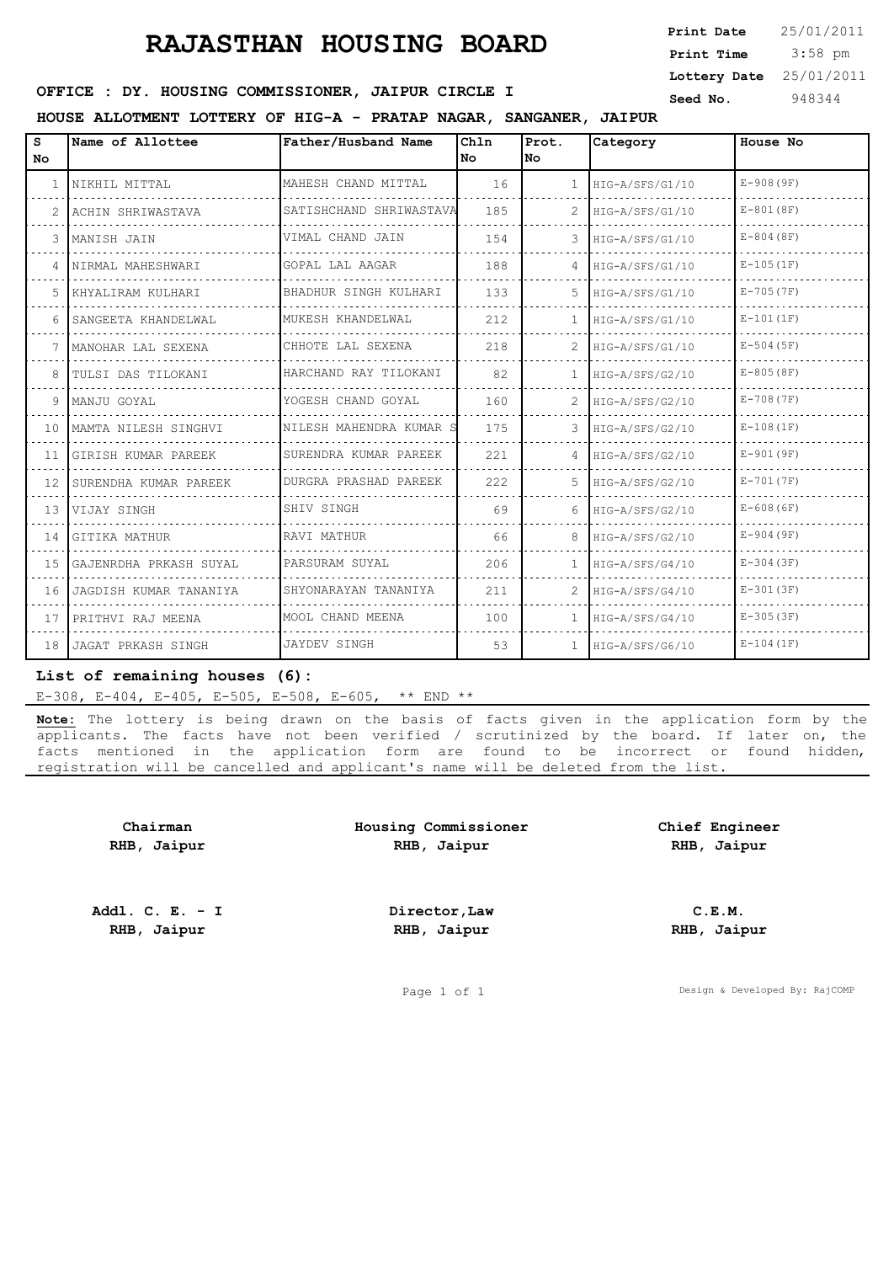## **RAJASTHAN HOUSING BOARD**

 3:58 pm **Print Date Print Time Lottery Date** 25/01/2011

### **OFFICE : DY. HOUSING COMMISSIONER, JAIPUR CIRCLE I** Seed No. 948344

#### **HOUSE ALLOTMENT LOTTERY OF HIG-A - PRATAP NAGAR, SANGANER, JAIPUR**

| s<br><b>No</b> | Name of Allottee       | Father/Husband Name     | Chln<br>l No | Prot.<br>lNo.  | Category        | House No      |
|----------------|------------------------|-------------------------|--------------|----------------|-----------------|---------------|
| 1              | NIKHIL MITTAL          | MAHESH CHAND MITTAL     | 16           | $\mathbf{1}$   | HIG-A/SFS/G1/10 | $E-908(9F)$   |
| 2              | ACHIN SHRIWASTAVA      | SATISHCHAND SHRIWASTAVA | 185          | $\mathcal{L}$  | HIG-A/SFS/G1/10 | $E-801(8F)$   |
| 3              | MANISH JAIN            | VIMAL CHAND JAIN        | 154          | 3              | HIG-A/SFS/G1/10 | $E-804(8F)$   |
| 4              | NIRMAL MAHESHWARI      | GOPAL LAL AAGAR         | 188          | 4              | HIG-A/SFS/G1/10 | $E-105(1F)$   |
| .5             | KHYALIRAM KULHARI      | BHADHUR SINGH KULHARI   | 133          | 5              | HIG-A/SFS/G1/10 | $E - 705(7F)$ |
| 6              | SANGEETA KHANDELWAL    | MUKESH KHANDELWAL       | 212          | $\mathbf{1}$   | HIG-A/SFS/G1/10 | $E-101(1F)$   |
| 7              | MANOHAR LAL SEXENA     | CHHOTE LAL SEXENA       | 218          | $\overline{2}$ | HIG-A/SFS/G1/10 | $E-504(5F)$   |
| 8              | TULSI DAS TILOKANI     | HARCHAND RAY TILOKANI   | 82           | $\mathbf{1}$   | HIG-A/SFS/G2/10 | $E-805(8F)$   |
| 9              | MANJU GOYAL            | YOGESH CHAND GOYAL      | 160          | $\overline{2}$ | HIG-A/SFS/G2/10 | $E-708(7F)$   |
| 10             | MAMTA NILESH SINGHVI   | NILESH MAHENDRA KUMAR S | 175          | 3              | HIG-A/SFS/G2/10 | $E-108(1F)$   |
| 11             | GIRISH KUMAR PAREEK    | SURENDRA KUMAR PAREEK   | 221          | $\overline{4}$ | HIG-A/SFS/G2/10 | $E-901(9F)$   |
| 12             | SURENDHA KUMAR PAREEK  | DURGRA PRASHAD PAREEK   | 222          | 5              | HIG-A/SFS/G2/10 | $E - 701(7F)$ |
| 13             | VIJAY SINGH            | SHIV SINGH              | 69           | 6              | HIG-A/SFS/G2/10 | $E-608(6F)$   |
| 14             | GITIKA MATHUR          | RAVI MATHUR             | 66           | 8              | HIG-A/SFS/G2/10 | $E-904(9F)$   |
| 15             | GAJENRDHA PRKASH SUYAL | PARSURAM SUYAL          | 206          | $\mathbf{1}$   | HIG-A/SFS/G4/10 | $E-304(3F)$   |
| 16             | JAGDISH KUMAR TANANIYA | SHYONARAYAN TANANIYA    | 211          | $\overline{2}$ | HIG-A/SFS/G4/10 | $E-301(3F)$   |
| 17             | PRITHVI RAJ MEENA      | MOOL CHAND MEENA        | 100          | $\mathbf{1}$   | HIG-A/SFS/G4/10 | $E-305(3F)$   |
| 18             | JAGAT PRKASH SINGH     | <b>JAYDEV SINGH</b>     | 53           | $\mathbf{1}$   | HIG-A/SFS/G6/10 | $E-104(1F)$   |

#### **List of remaining houses (6):**

E-308, E-404, E-405, E-505, E-508, E-605, \*\* END \*\*

**Note:** The lottery is being drawn on the basis of facts given in the application form by the applicants. The facts have not been verified / scrutinized by the board. If later on, the facts mentioned in the application form are found to be incorrect or found hidden, registration will be cancelled and applicant's name will be deleted from the list.

**Chairman RHB, Jaipur** **Housing Commissioner RHB, Jaipur**

**Chief Engineer RHB, Jaipur**

**Addl. C. E. - I RHB, Jaipur**

**Director,Law RHB, Jaipur**

**C.E.M. RHB, Jaipur**

Page 1 of 1 Design & Developed By: RajCOMP